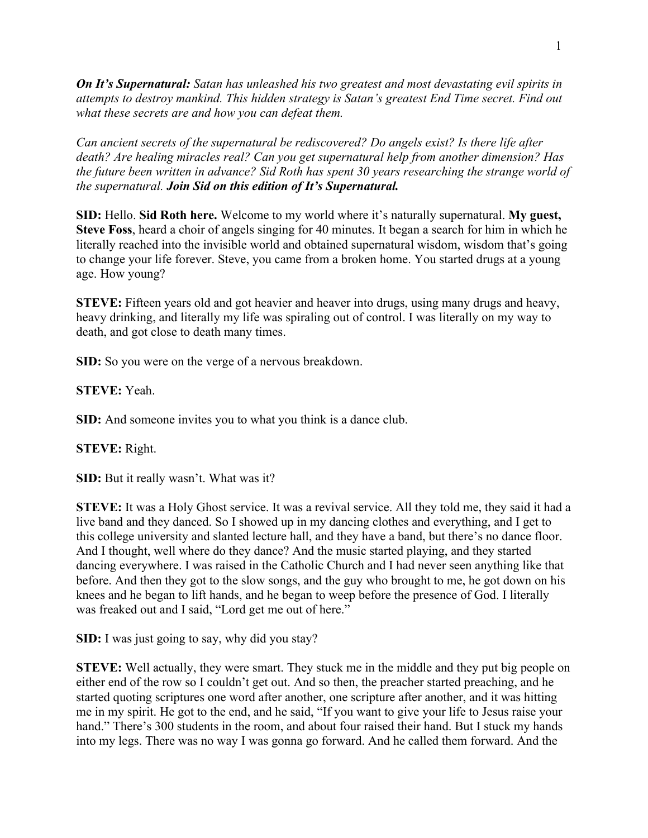*On It's Supernatural: Satan has unleashed his two greatest and most devastating evil spirits in attempts to destroy mankind. This hidden strategy is Satan's greatest End Time secret. Find out what these secrets are and how you can defeat them.*

*Can ancient secrets of the supernatural be rediscovered? Do angels exist? Is there life after death? Are healing miracles real? Can you get supernatural help from another dimension? Has the future been written in advance? Sid Roth has spent 30 years researching the strange world of the supernatural. Join Sid on this edition of It's Supernatural.*

**SID:** Hello. **Sid Roth here.** Welcome to my world where it's naturally supernatural. **My guest, Steve Foss**, heard a choir of angels singing for 40 minutes. It began a search for him in which he literally reached into the invisible world and obtained supernatural wisdom, wisdom that's going to change your life forever. Steve, you came from a broken home. You started drugs at a young age. How young?

**STEVE:** Fifteen years old and got heavier and heaver into drugs, using many drugs and heavy, heavy drinking, and literally my life was spiraling out of control. I was literally on my way to death, and got close to death many times.

**SID:** So you were on the verge of a nervous breakdown.

**STEVE:** Yeah.

**SID:** And someone invites you to what you think is a dance club.

**STEVE:** Right.

**SID:** But it really wasn't. What was it?

**STEVE:** It was a Holy Ghost service. It was a revival service. All they told me, they said it had a live band and they danced. So I showed up in my dancing clothes and everything, and I get to this college university and slanted lecture hall, and they have a band, but there's no dance floor. And I thought, well where do they dance? And the music started playing, and they started dancing everywhere. I was raised in the Catholic Church and I had never seen anything like that before. And then they got to the slow songs, and the guy who brought to me, he got down on his knees and he began to lift hands, and he began to weep before the presence of God. I literally was freaked out and I said, "Lord get me out of here."

**SID:** I was just going to say, why did you stay?

**STEVE:** Well actually, they were smart. They stuck me in the middle and they put big people on either end of the row so I couldn't get out. And so then, the preacher started preaching, and he started quoting scriptures one word after another, one scripture after another, and it was hitting me in my spirit. He got to the end, and he said, "If you want to give your life to Jesus raise your hand." There's 300 students in the room, and about four raised their hand. But I stuck my hands into my legs. There was no way I was gonna go forward. And he called them forward. And the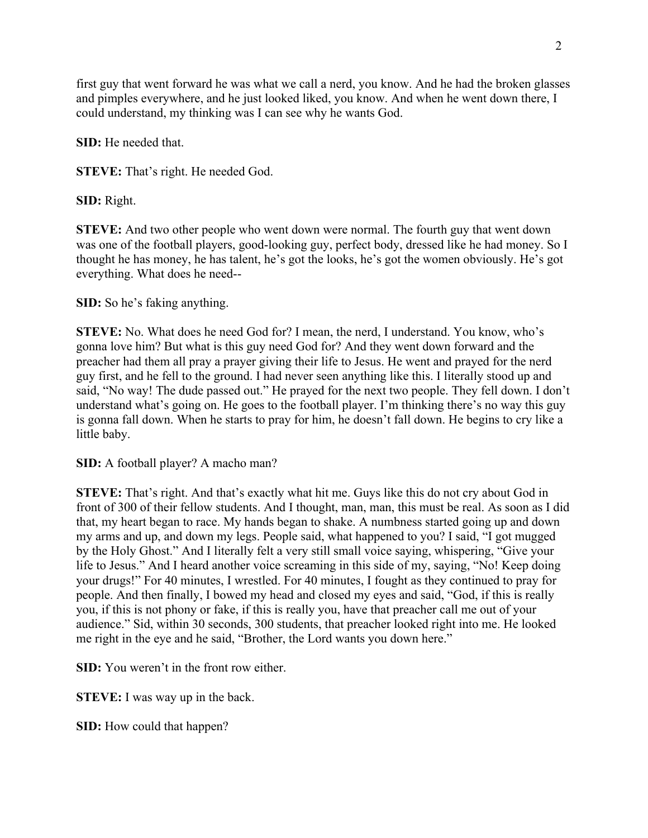first guy that went forward he was what we call a nerd, you know. And he had the broken glasses and pimples everywhere, and he just looked liked, you know. And when he went down there, I could understand, my thinking was I can see why he wants God.

**SID:** He needed that.

**STEVE:** That's right. He needed God.

**SID:** Right.

**STEVE:** And two other people who went down were normal. The fourth guy that went down was one of the football players, good-looking guy, perfect body, dressed like he had money. So I thought he has money, he has talent, he's got the looks, he's got the women obviously. He's got everything. What does he need--

**SID:** So he's faking anything.

**STEVE:** No. What does he need God for? I mean, the nerd, I understand. You know, who's gonna love him? But what is this guy need God for? And they went down forward and the preacher had them all pray a prayer giving their life to Jesus. He went and prayed for the nerd guy first, and he fell to the ground. I had never seen anything like this. I literally stood up and said, "No way! The dude passed out." He prayed for the next two people. They fell down. I don't understand what's going on. He goes to the football player. I'm thinking there's no way this guy is gonna fall down. When he starts to pray for him, he doesn't fall down. He begins to cry like a little baby.

**SID:** A football player? A macho man?

**STEVE:** That's right. And that's exactly what hit me. Guys like this do not cry about God in front of 300 of their fellow students. And I thought, man, man, this must be real. As soon as I did that, my heart began to race. My hands began to shake. A numbness started going up and down my arms and up, and down my legs. People said, what happened to you? I said, "I got mugged by the Holy Ghost." And I literally felt a very still small voice saying, whispering, "Give your life to Jesus." And I heard another voice screaming in this side of my, saying, "No! Keep doing your drugs!" For 40 minutes, I wrestled. For 40 minutes, I fought as they continued to pray for people. And then finally, I bowed my head and closed my eyes and said, "God, if this is really you, if this is not phony or fake, if this is really you, have that preacher call me out of your audience." Sid, within 30 seconds, 300 students, that preacher looked right into me. He looked me right in the eye and he said, "Brother, the Lord wants you down here."

**SID:** You weren't in the front row either.

**STEVE:** I was way up in the back.

**SID:** How could that happen?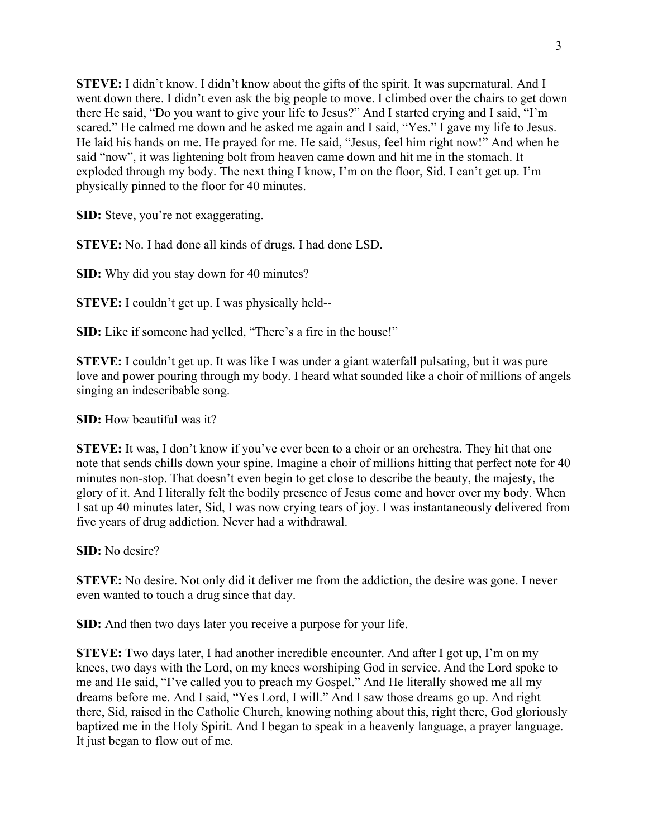**STEVE:** I didn't know. I didn't know about the gifts of the spirit. It was supernatural. And I went down there. I didn't even ask the big people to move. I climbed over the chairs to get down there He said, "Do you want to give your life to Jesus?" And I started crying and I said, "I'm scared." He calmed me down and he asked me again and I said, "Yes." I gave my life to Jesus. He laid his hands on me. He prayed for me. He said, "Jesus, feel him right now!" And when he said "now", it was lightening bolt from heaven came down and hit me in the stomach. It exploded through my body. The next thing I know, I'm on the floor, Sid. I can't get up. I'm physically pinned to the floor for 40 minutes.

**SID:** Steve, you're not exaggerating.

**STEVE:** No. I had done all kinds of drugs. I had done LSD.

**SID:** Why did you stay down for 40 minutes?

**STEVE:** I couldn't get up. I was physically held--

**SID:** Like if someone had yelled, "There's a fire in the house!"

**STEVE:** I couldn't get up. It was like I was under a giant waterfall pulsating, but it was pure love and power pouring through my body. I heard what sounded like a choir of millions of angels singing an indescribable song.

**SID:** How beautiful was it?

**STEVE:** It was, I don't know if you've ever been to a choir or an orchestra. They hit that one note that sends chills down your spine. Imagine a choir of millions hitting that perfect note for 40 minutes non-stop. That doesn't even begin to get close to describe the beauty, the majesty, the glory of it. And I literally felt the bodily presence of Jesus come and hover over my body. When I sat up 40 minutes later, Sid, I was now crying tears of joy. I was instantaneously delivered from five years of drug addiction. Never had a withdrawal.

**SID:** No desire?

**STEVE:** No desire. Not only did it deliver me from the addiction, the desire was gone. I never even wanted to touch a drug since that day.

**SID:** And then two days later you receive a purpose for your life.

**STEVE:** Two days later, I had another incredible encounter. And after I got up, I'm on my knees, two days with the Lord, on my knees worshiping God in service. And the Lord spoke to me and He said, "I've called you to preach my Gospel." And He literally showed me all my dreams before me. And I said, "Yes Lord, I will." And I saw those dreams go up. And right there, Sid, raised in the Catholic Church, knowing nothing about this, right there, God gloriously baptized me in the Holy Spirit. And I began to speak in a heavenly language, a prayer language. It just began to flow out of me.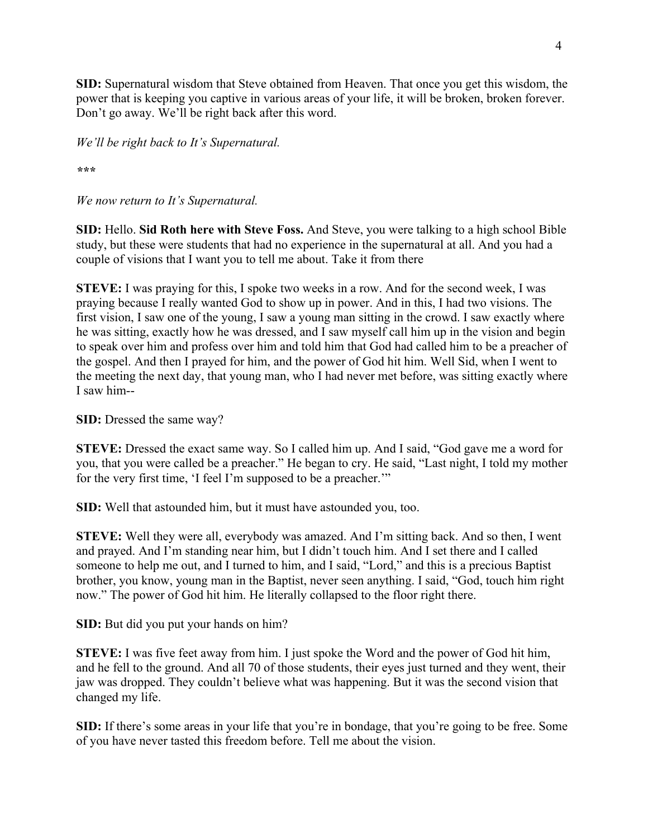**SID:** Supernatural wisdom that Steve obtained from Heaven. That once you get this wisdom, the power that is keeping you captive in various areas of your life, it will be broken, broken forever. Don't go away. We'll be right back after this word.

*We'll be right back to It's Supernatural.*

*\*\*\**

*We now return to It's Supernatural.*

**SID:** Hello. **Sid Roth here with Steve Foss.** And Steve, you were talking to a high school Bible study, but these were students that had no experience in the supernatural at all. And you had a couple of visions that I want you to tell me about. Take it from there

**STEVE:** I was praying for this, I spoke two weeks in a row. And for the second week, I was praying because I really wanted God to show up in power. And in this, I had two visions. The first vision, I saw one of the young, I saw a young man sitting in the crowd. I saw exactly where he was sitting, exactly how he was dressed, and I saw myself call him up in the vision and begin to speak over him and profess over him and told him that God had called him to be a preacher of the gospel. And then I prayed for him, and the power of God hit him. Well Sid, when I went to the meeting the next day, that young man, who I had never met before, was sitting exactly where I saw him--

**SID:** Dressed the same way?

**STEVE:** Dressed the exact same way. So I called him up. And I said, "God gave me a word for you, that you were called be a preacher." He began to cry. He said, "Last night, I told my mother for the very first time, 'I feel I'm supposed to be a preacher.'"

**SID:** Well that astounded him, but it must have astounded you, too.

**STEVE:** Well they were all, everybody was amazed. And I'm sitting back. And so then, I went and prayed. And I'm standing near him, but I didn't touch him. And I set there and I called someone to help me out, and I turned to him, and I said, "Lord," and this is a precious Baptist brother, you know, young man in the Baptist, never seen anything. I said, "God, touch him right now." The power of God hit him. He literally collapsed to the floor right there.

**SID:** But did you put your hands on him?

**STEVE:** I was five feet away from him. I just spoke the Word and the power of God hit him, and he fell to the ground. And all 70 of those students, their eyes just turned and they went, their jaw was dropped. They couldn't believe what was happening. But it was the second vision that changed my life.

**SID:** If there's some areas in your life that you're in bondage, that you're going to be free. Some of you have never tasted this freedom before. Tell me about the vision.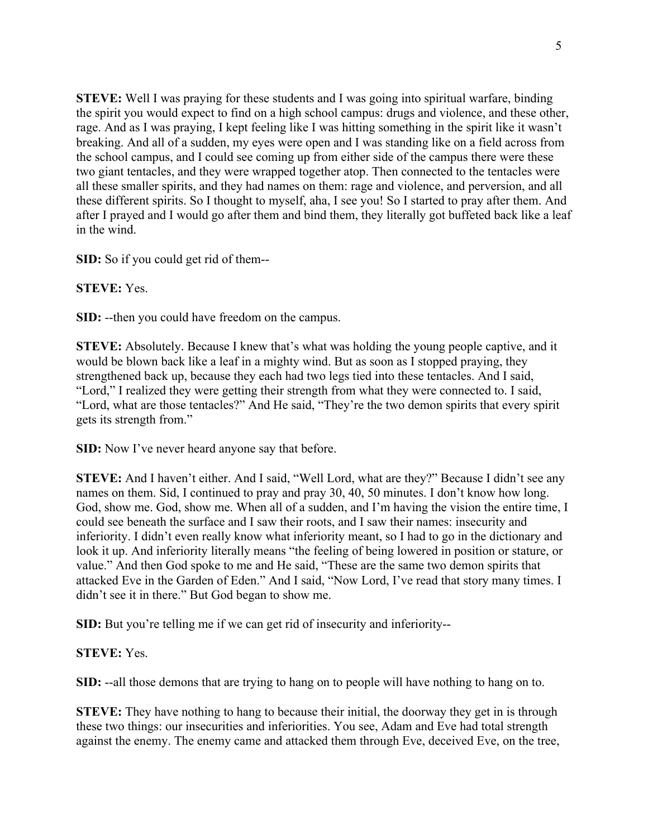**STEVE:** Well I was praying for these students and I was going into spiritual warfare, binding the spirit you would expect to find on a high school campus: drugs and violence, and these other, rage. And as I was praying, I kept feeling like I was hitting something in the spirit like it wasn't breaking. And all of a sudden, my eyes were open and I was standing like on a field across from the school campus, and I could see coming up from either side of the campus there were these two giant tentacles, and they were wrapped together atop. Then connected to the tentacles were all these smaller spirits, and they had names on them: rage and violence, and perversion, and all these different spirits. So I thought to myself, aha, I see you! So I started to pray after them. And after I prayed and I would go after them and bind them, they literally got buffeted back like a leaf in the wind.

**SID:** So if you could get rid of them--

**STEVE:** Yes.

**SID:** --then you could have freedom on the campus.

**STEVE:** Absolutely. Because I knew that's what was holding the young people captive, and it would be blown back like a leaf in a mighty wind. But as soon as I stopped praying, they strengthened back up, because they each had two legs tied into these tentacles. And I said, "Lord," I realized they were getting their strength from what they were connected to. I said, "Lord, what are those tentacles?" And He said, "They're the two demon spirits that every spirit gets its strength from."

**SID:** Now I've never heard anyone say that before.

**STEVE:** And I haven't either. And I said, "Well Lord, what are they?" Because I didn't see any names on them. Sid, I continued to pray and pray 30, 40, 50 minutes. I don't know how long. God, show me. God, show me. When all of a sudden, and I'm having the vision the entire time, I could see beneath the surface and I saw their roots, and I saw their names: insecurity and inferiority. I didn't even really know what inferiority meant, so I had to go in the dictionary and look it up. And inferiority literally means "the feeling of being lowered in position or stature, or value." And then God spoke to me and He said, "These are the same two demon spirits that attacked Eve in the Garden of Eden." And I said, "Now Lord, I've read that story many times. I didn't see it in there." But God began to show me.

**SID:** But you're telling me if we can get rid of insecurity and inferiority--

# **STEVE:** Yes.

**SID:** --all those demons that are trying to hang on to people will have nothing to hang on to.

**STEVE:** They have nothing to hang to because their initial, the doorway they get in is through these two things: our insecurities and inferiorities. You see, Adam and Eve had total strength against the enemy. The enemy came and attacked them through Eve, deceived Eve, on the tree,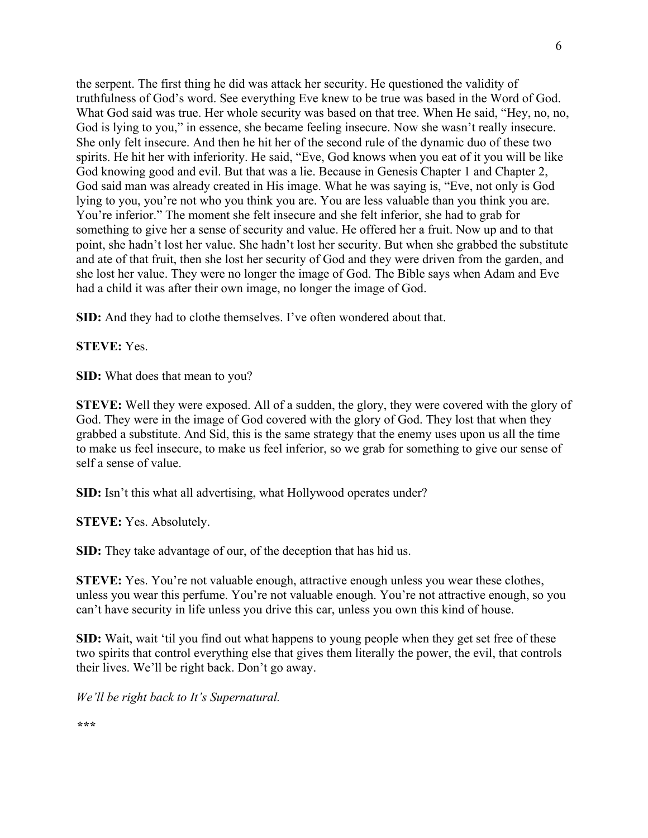the serpent. The first thing he did was attack her security. He questioned the validity of truthfulness of God's word. See everything Eve knew to be true was based in the Word of God. What God said was true. Her whole security was based on that tree. When He said, "Hey, no, no, God is lying to you," in essence, she became feeling insecure. Now she wasn't really insecure. She only felt insecure. And then he hit her of the second rule of the dynamic duo of these two spirits. He hit her with inferiority. He said, "Eve, God knows when you eat of it you will be like God knowing good and evil. But that was a lie. Because in Genesis Chapter 1 and Chapter 2, God said man was already created in His image. What he was saying is, "Eve, not only is God lying to you, you're not who you think you are. You are less valuable than you think you are. You're inferior." The moment she felt insecure and she felt inferior, she had to grab for something to give her a sense of security and value. He offered her a fruit. Now up and to that point, she hadn't lost her value. She hadn't lost her security. But when she grabbed the substitute and ate of that fruit, then she lost her security of God and they were driven from the garden, and she lost her value. They were no longer the image of God. The Bible says when Adam and Eve had a child it was after their own image, no longer the image of God.

**SID:** And they had to clothe themselves. I've often wondered about that.

**STEVE:** Yes.

**SID:** What does that mean to you?

**STEVE:** Well they were exposed. All of a sudden, the glory, they were covered with the glory of God. They were in the image of God covered with the glory of God. They lost that when they grabbed a substitute. And Sid, this is the same strategy that the enemy uses upon us all the time to make us feel insecure, to make us feel inferior, so we grab for something to give our sense of self a sense of value.

**SID:** Isn't this what all advertising, what Hollywood operates under?

**STEVE:** Yes. Absolutely.

**SID:** They take advantage of our, of the deception that has hid us.

**STEVE:** Yes. You're not valuable enough, attractive enough unless you wear these clothes, unless you wear this perfume. You're not valuable enough. You're not attractive enough, so you can't have security in life unless you drive this car, unless you own this kind of house.

**SID:** Wait, wait 'til you find out what happens to young people when they get set free of these two spirits that control everything else that gives them literally the power, the evil, that controls their lives. We'll be right back. Don't go away.

*We'll be right back to It's Supernatural.*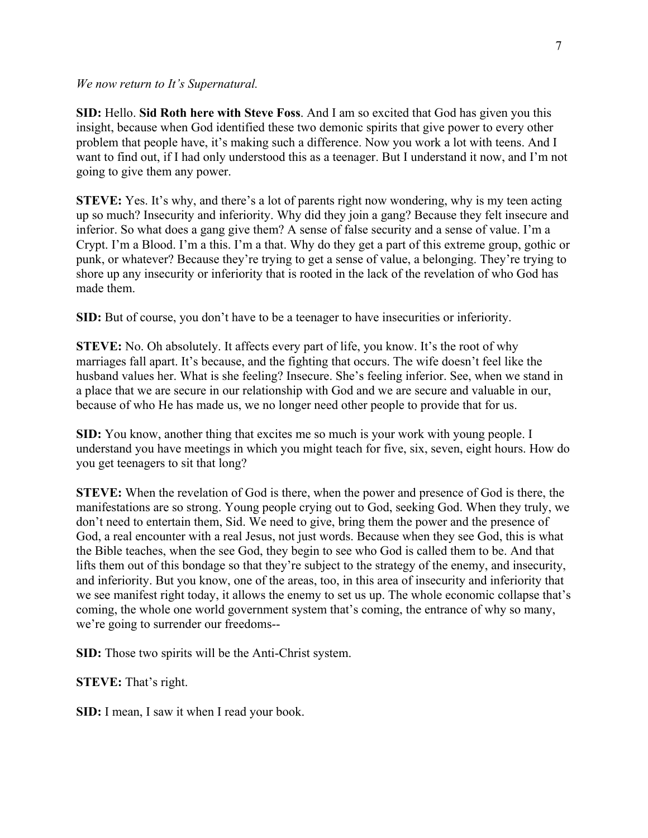#### *We now return to It's Supernatural.*

**SID:** Hello. **Sid Roth here with Steve Foss**. And I am so excited that God has given you this insight, because when God identified these two demonic spirits that give power to every other problem that people have, it's making such a difference. Now you work a lot with teens. And I want to find out, if I had only understood this as a teenager. But I understand it now, and I'm not going to give them any power.

**STEVE:** Yes. It's why, and there's a lot of parents right now wondering, why is my teen acting up so much? Insecurity and inferiority. Why did they join a gang? Because they felt insecure and inferior. So what does a gang give them? A sense of false security and a sense of value. I'm a Crypt. I'm a Blood. I'm a this. I'm a that. Why do they get a part of this extreme group, gothic or punk, or whatever? Because they're trying to get a sense of value, a belonging. They're trying to shore up any insecurity or inferiority that is rooted in the lack of the revelation of who God has made them.

**SID:** But of course, you don't have to be a teenager to have insecurities or inferiority.

**STEVE:** No. Oh absolutely. It affects every part of life, you know. It's the root of why marriages fall apart. It's because, and the fighting that occurs. The wife doesn't feel like the husband values her. What is she feeling? Insecure. She's feeling inferior. See, when we stand in a place that we are secure in our relationship with God and we are secure and valuable in our, because of who He has made us, we no longer need other people to provide that for us.

**SID:** You know, another thing that excites me so much is your work with young people. I understand you have meetings in which you might teach for five, six, seven, eight hours. How do you get teenagers to sit that long?

**STEVE:** When the revelation of God is there, when the power and presence of God is there, the manifestations are so strong. Young people crying out to God, seeking God. When they truly, we don't need to entertain them, Sid. We need to give, bring them the power and the presence of God, a real encounter with a real Jesus, not just words. Because when they see God, this is what the Bible teaches, when the see God, they begin to see who God is called them to be. And that lifts them out of this bondage so that they're subject to the strategy of the enemy, and insecurity, and inferiority. But you know, one of the areas, too, in this area of insecurity and inferiority that we see manifest right today, it allows the enemy to set us up. The whole economic collapse that's coming, the whole one world government system that's coming, the entrance of why so many, we're going to surrender our freedoms--

**SID:** Those two spirits will be the Anti-Christ system.

**STEVE:** That's right.

**SID:** I mean, I saw it when I read your book.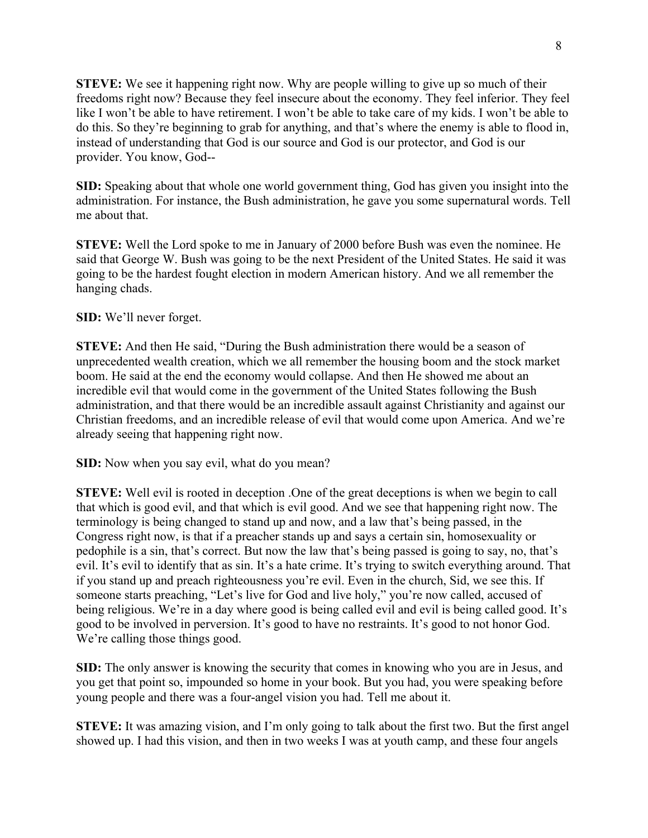**STEVE:** We see it happening right now. Why are people willing to give up so much of their freedoms right now? Because they feel insecure about the economy. They feel inferior. They feel like I won't be able to have retirement. I won't be able to take care of my kids. I won't be able to do this. So they're beginning to grab for anything, and that's where the enemy is able to flood in, instead of understanding that God is our source and God is our protector, and God is our provider. You know, God--

**SID:** Speaking about that whole one world government thing, God has given you insight into the administration. For instance, the Bush administration, he gave you some supernatural words. Tell me about that.

**STEVE:** Well the Lord spoke to me in January of 2000 before Bush was even the nominee. He said that George W. Bush was going to be the next President of the United States. He said it was going to be the hardest fought election in modern American history. And we all remember the hanging chads.

## **SID:** We'll never forget.

**STEVE:** And then He said, "During the Bush administration there would be a season of unprecedented wealth creation, which we all remember the housing boom and the stock market boom. He said at the end the economy would collapse. And then He showed me about an incredible evil that would come in the government of the United States following the Bush administration, and that there would be an incredible assault against Christianity and against our Christian freedoms, and an incredible release of evil that would come upon America. And we're already seeing that happening right now.

### **SID:** Now when you say evil, what do you mean?

**STEVE:** Well evil is rooted in deception .One of the great deceptions is when we begin to call that which is good evil, and that which is evil good. And we see that happening right now. The terminology is being changed to stand up and now, and a law that's being passed, in the Congress right now, is that if a preacher stands up and says a certain sin, homosexuality or pedophile is a sin, that's correct. But now the law that's being passed is going to say, no, that's evil. It's evil to identify that as sin. It's a hate crime. It's trying to switch everything around. That if you stand up and preach righteousness you're evil. Even in the church, Sid, we see this. If someone starts preaching, "Let's live for God and live holy," you're now called, accused of being religious. We're in a day where good is being called evil and evil is being called good. It's good to be involved in perversion. It's good to have no restraints. It's good to not honor God. We're calling those things good.

**SID:** The only answer is knowing the security that comes in knowing who you are in Jesus, and you get that point so, impounded so home in your book. But you had, you were speaking before young people and there was a four-angel vision you had. Tell me about it.

**STEVE:** It was amazing vision, and I'm only going to talk about the first two. But the first angel showed up. I had this vision, and then in two weeks I was at youth camp, and these four angels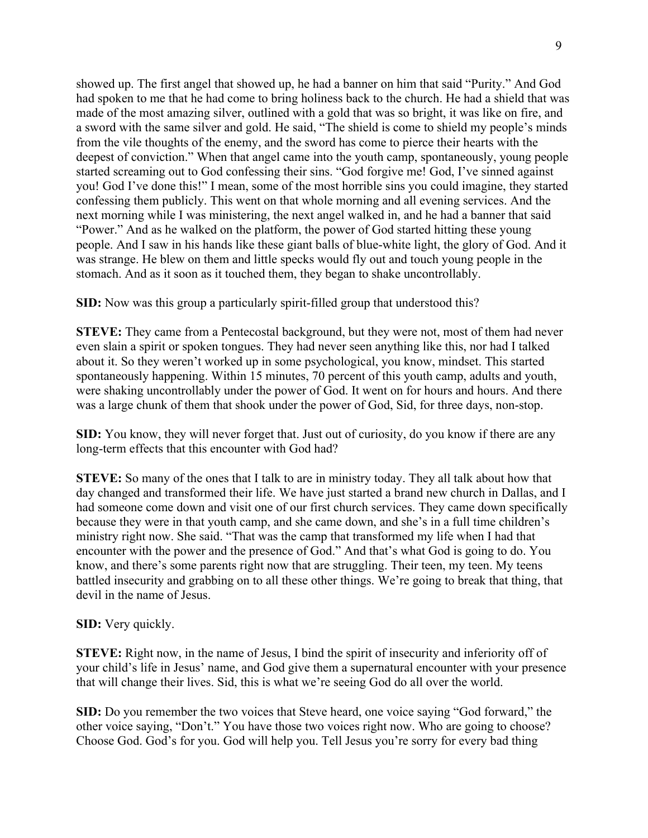showed up. The first angel that showed up, he had a banner on him that said "Purity." And God had spoken to me that he had come to bring holiness back to the church. He had a shield that was made of the most amazing silver, outlined with a gold that was so bright, it was like on fire, and a sword with the same silver and gold. He said, "The shield is come to shield my people's minds from the vile thoughts of the enemy, and the sword has come to pierce their hearts with the deepest of conviction." When that angel came into the youth camp, spontaneously, young people started screaming out to God confessing their sins. "God forgive me! God, I've sinned against you! God I've done this!" I mean, some of the most horrible sins you could imagine, they started confessing them publicly. This went on that whole morning and all evening services. And the next morning while I was ministering, the next angel walked in, and he had a banner that said "Power." And as he walked on the platform, the power of God started hitting these young people. And I saw in his hands like these giant balls of blue-white light, the glory of God. And it was strange. He blew on them and little specks would fly out and touch young people in the stomach. And as it soon as it touched them, they began to shake uncontrollably.

**SID:** Now was this group a particularly spirit-filled group that understood this?

**STEVE:** They came from a Pentecostal background, but they were not, most of them had never even slain a spirit or spoken tongues. They had never seen anything like this, nor had I talked about it. So they weren't worked up in some psychological, you know, mindset. This started spontaneously happening. Within 15 minutes, 70 percent of this youth camp, adults and youth, were shaking uncontrollably under the power of God. It went on for hours and hours. And there was a large chunk of them that shook under the power of God, Sid, for three days, non-stop.

**SID:** You know, they will never forget that. Just out of curiosity, do you know if there are any long-term effects that this encounter with God had?

**STEVE:** So many of the ones that I talk to are in ministry today. They all talk about how that day changed and transformed their life. We have just started a brand new church in Dallas, and I had someone come down and visit one of our first church services. They came down specifically because they were in that youth camp, and she came down, and she's in a full time children's ministry right now. She said. "That was the camp that transformed my life when I had that encounter with the power and the presence of God." And that's what God is going to do. You know, and there's some parents right now that are struggling. Their teen, my teen. My teens battled insecurity and grabbing on to all these other things. We're going to break that thing, that devil in the name of Jesus.

# **SID:** Very quickly.

**STEVE:** Right now, in the name of Jesus, I bind the spirit of insecurity and inferiority off of your child's life in Jesus' name, and God give them a supernatural encounter with your presence that will change their lives. Sid, this is what we're seeing God do all over the world.

**SID:** Do you remember the two voices that Steve heard, one voice saying "God forward," the other voice saying, "Don't." You have those two voices right now. Who are going to choose? Choose God. God's for you. God will help you. Tell Jesus you're sorry for every bad thing